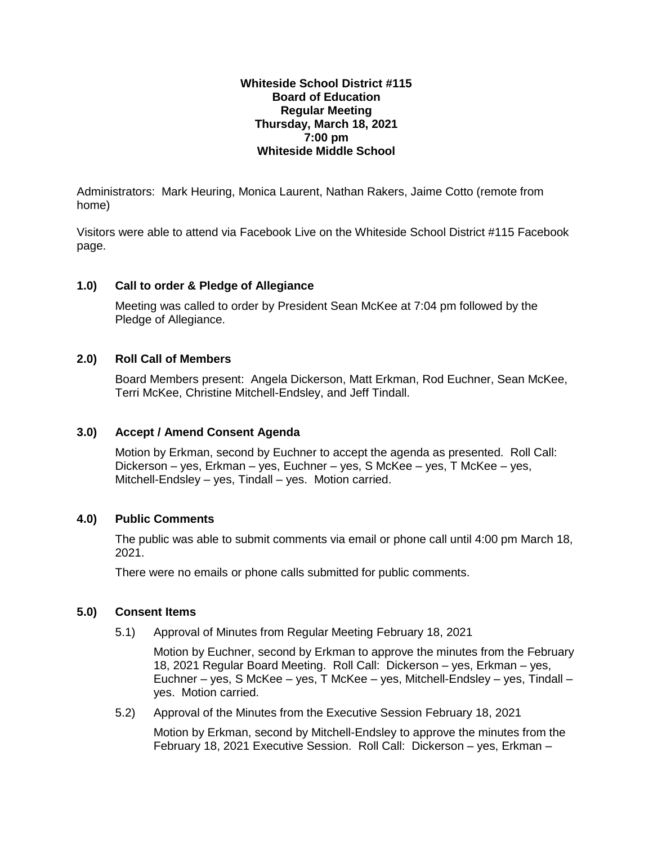## **Whiteside School District #115 Board of Education Regular Meeting Thursday, March 18, 2021 7:00 pm Whiteside Middle School**

Administrators: Mark Heuring, Monica Laurent, Nathan Rakers, Jaime Cotto (remote from home)

Visitors were able to attend via Facebook Live on the Whiteside School District #115 Facebook page.

# **1.0) Call to order & Pledge of Allegiance**

Meeting was called to order by President Sean McKee at 7:04 pm followed by the Pledge of Allegiance.

# **2.0) Roll Call of Members**

Board Members present: Angela Dickerson, Matt Erkman, Rod Euchner, Sean McKee, Terri McKee, Christine Mitchell-Endsley, and Jeff Tindall.

# **3.0) Accept / Amend Consent Agenda**

Motion by Erkman, second by Euchner to accept the agenda as presented. Roll Call: Dickerson – yes, Erkman – yes, Euchner – yes, S McKee – yes, T McKee – yes, Mitchell-Endsley – yes, Tindall – yes. Motion carried.

# **4.0) Public Comments**

The public was able to submit comments via email or phone call until 4:00 pm March 18, 2021.

There were no emails or phone calls submitted for public comments.

# **5.0) Consent Items**

5.1) Approval of Minutes from Regular Meeting February 18, 2021

Motion by Euchner, second by Erkman to approve the minutes from the February 18, 2021 Regular Board Meeting. Roll Call: Dickerson – yes, Erkman – yes, Euchner – yes, S McKee – yes, T McKee – yes, Mitchell-Endsley – yes, Tindall – yes. Motion carried.

5.2) Approval of the Minutes from the Executive Session February 18, 2021

Motion by Erkman, second by Mitchell-Endsley to approve the minutes from the February 18, 2021 Executive Session. Roll Call: Dickerson – yes, Erkman –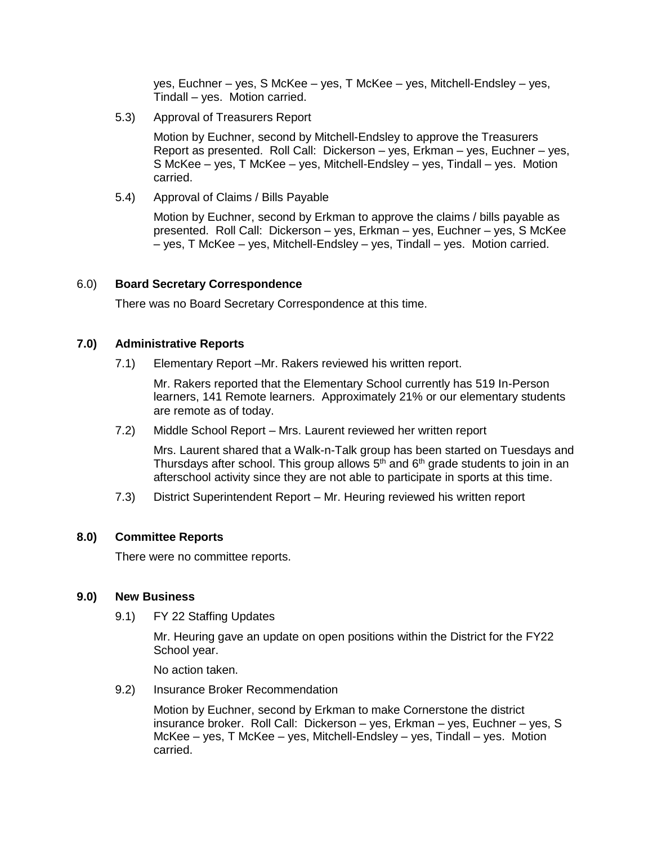yes, Euchner – yes, S McKee – yes, T McKee – yes, Mitchell-Endsley – yes, Tindall – yes. Motion carried.

5.3) Approval of Treasurers Report

Motion by Euchner, second by Mitchell-Endsley to approve the Treasurers Report as presented. Roll Call: Dickerson – yes, Erkman – yes, Euchner – yes, S McKee – yes, T McKee – yes, Mitchell-Endsley – yes, Tindall – yes. Motion carried.

5.4) Approval of Claims / Bills Payable

Motion by Euchner, second by Erkman to approve the claims / bills payable as presented. Roll Call: Dickerson – yes, Erkman – yes, Euchner – yes, S McKee – yes, T McKee – yes, Mitchell-Endsley – yes, Tindall – yes. Motion carried.

## 6.0) **Board Secretary Correspondence**

There was no Board Secretary Correspondence at this time.

## **7.0) Administrative Reports**

7.1) Elementary Report –Mr. Rakers reviewed his written report.

Mr. Rakers reported that the Elementary School currently has 519 In-Person learners, 141 Remote learners. Approximately 21% or our elementary students are remote as of today.

7.2) Middle School Report – Mrs. Laurent reviewed her written report

Mrs. Laurent shared that a Walk-n-Talk group has been started on Tuesdays and Thursdays after school. This group allows  $5<sup>th</sup>$  and  $6<sup>th</sup>$  grade students to join in an afterschool activity since they are not able to participate in sports at this time.

7.3) District Superintendent Report – Mr. Heuring reviewed his written report

#### **8.0) Committee Reports**

There were no committee reports.

#### **9.0) New Business**

9.1) FY 22 Staffing Updates

Mr. Heuring gave an update on open positions within the District for the FY22 School year.

No action taken.

9.2) Insurance Broker Recommendation

Motion by Euchner, second by Erkman to make Cornerstone the district insurance broker. Roll Call: Dickerson – yes, Erkman – yes, Euchner – yes, S McKee – yes, T McKee – yes, Mitchell-Endsley – yes, Tindall – yes. Motion carried.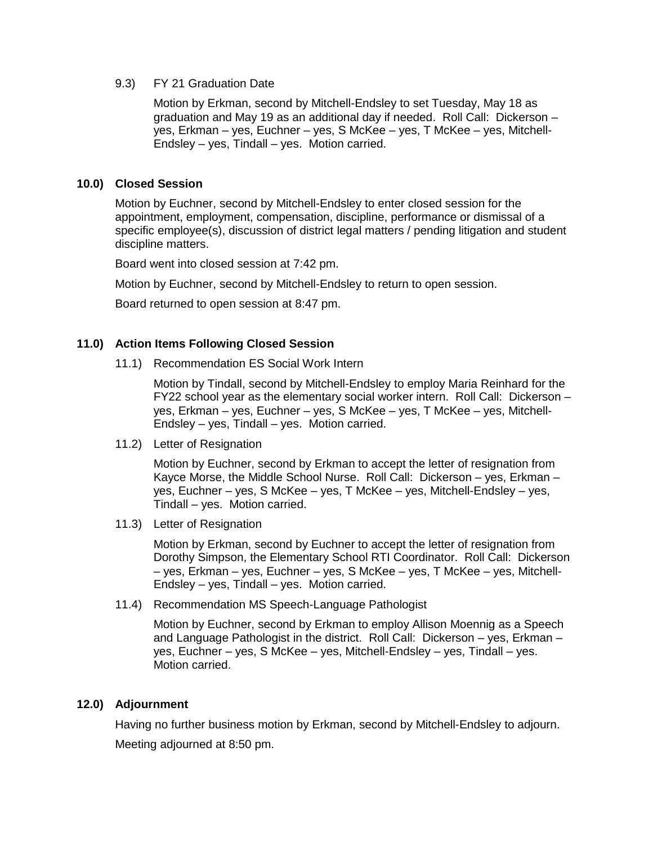### 9.3) FY 21 Graduation Date

Motion by Erkman, second by Mitchell-Endsley to set Tuesday, May 18 as graduation and May 19 as an additional day if needed. Roll Call: Dickerson – yes, Erkman – yes, Euchner – yes, S McKee – yes, T McKee – yes, Mitchell-Endsley – yes, Tindall – yes. Motion carried.

# **10.0) Closed Session**

Motion by Euchner, second by Mitchell-Endsley to enter closed session for the appointment, employment, compensation, discipline, performance or dismissal of a specific employee(s), discussion of district legal matters / pending litigation and student discipline matters.

Board went into closed session at 7:42 pm.

Motion by Euchner, second by Mitchell-Endsley to return to open session.

Board returned to open session at 8:47 pm.

## **11.0) Action Items Following Closed Session**

11.1) Recommendation ES Social Work Intern

Motion by Tindall, second by Mitchell-Endsley to employ Maria Reinhard for the FY22 school year as the elementary social worker intern. Roll Call: Dickerson – yes, Erkman – yes, Euchner – yes, S McKee – yes, T McKee – yes, Mitchell-Endsley – yes, Tindall – yes. Motion carried.

11.2) Letter of Resignation

Motion by Euchner, second by Erkman to accept the letter of resignation from Kayce Morse, the Middle School Nurse. Roll Call: Dickerson – yes, Erkman – yes, Euchner – yes, S McKee – yes, T McKee – yes, Mitchell-Endsley – yes, Tindall – yes. Motion carried.

11.3) Letter of Resignation

Motion by Erkman, second by Euchner to accept the letter of resignation from Dorothy Simpson, the Elementary School RTI Coordinator. Roll Call: Dickerson – yes, Erkman – yes, Euchner – yes, S McKee – yes, T McKee – yes, Mitchell-Endsley – yes, Tindall – yes. Motion carried.

11.4) Recommendation MS Speech-Language Pathologist

Motion by Euchner, second by Erkman to employ Allison Moennig as a Speech and Language Pathologist in the district. Roll Call: Dickerson – yes, Erkman – yes, Euchner – yes, S McKee – yes, Mitchell-Endsley – yes, Tindall – yes. Motion carried.

#### **12.0) Adjournment**

Having no further business motion by Erkman, second by Mitchell-Endsley to adjourn. Meeting adjourned at 8:50 pm.